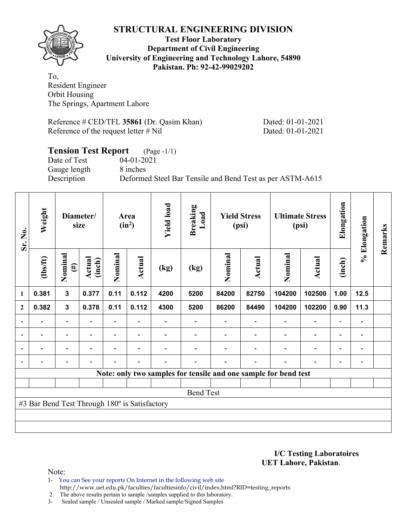## **STRUCTURAL ENGINEERING DIVISION**



#### **Test Floor Laboratory Department of Civil Engineering University of Engineering and Technology Lahore, 54890 Pakistan. Ph: 92-42-99029202**

To, Resident Engineer Orbit Housing The Springs, Apartment Lahore

Reference # CED/TFL **35861** (Dr. Qasim Khan) Dated: 01-01-2021 Reference of the request letter # Nil Dated: 01-01-2021

## **Tension Test Report** (Page -1/1) Date of Test 04-01-2021 Gauge length 8 inches Description Deformed Steel Bar Tensile and Bend Test as per ASTM-A615

| Sr. No.        | Weight                                        | Diameter/<br>size        |                         | Area<br>$(in^2)$ |                          | <b>Yield load</b> | <b>Breaking</b><br>Load | <b>Yield Stress</b><br>(psi) |        | <b>Ultimate Stress</b><br>(psi)                                 |                          | Elongation               | % Elongation   | Remarks |
|----------------|-----------------------------------------------|--------------------------|-------------------------|------------------|--------------------------|-------------------|-------------------------|------------------------------|--------|-----------------------------------------------------------------|--------------------------|--------------------------|----------------|---------|
|                | $lbsft$                                       | Nominal<br>$(\#)$        | <b>Actual</b><br>(inch) | Nominal          | Actual                   | (kg)              | (kg)                    | Nominal                      | Actual | Nominal                                                         | <b>Actual</b>            | (inch)                   |                |         |
| $\mathbf{1}$   | 0.381                                         | $\mathbf{3}$             | 0.377                   | 0.11             | 0.112                    | 4200              | 5200                    | 84200                        | 82750  | 104200                                                          | 102500                   | 1.00                     | 12.5           |         |
| $\mathbf{2}$   | 0.382                                         | $\mathbf{3}$             | 0.378                   | 0.11             | 0.112                    | 4300              | 5200                    | 86200                        | 84490  | 104200                                                          | 102200                   | 0.90                     | 11.3           |         |
|                |                                               | -                        |                         |                  |                          |                   |                         |                              |        |                                                                 | $\overline{\phantom{0}}$ | $\overline{\phantom{0}}$ |                |         |
| $\overline{a}$ |                                               | $\overline{\phantom{0}}$ |                         |                  | $\overline{\phantom{0}}$ |                   |                         |                              |        |                                                                 | $\overline{\phantom{0}}$ | $\overline{\phantom{0}}$ |                |         |
| $\blacksquare$ |                                               | $\overline{\phantom{a}}$ | $\blacksquare$          |                  | $\overline{\phantom{a}}$ |                   |                         |                              |        | ۰                                                               | $\overline{\phantom{0}}$ | $\blacksquare$           | $\blacksquare$ |         |
|                | -                                             | $\overline{a}$           |                         |                  | $\blacksquare$           |                   |                         |                              | ۰      | $\blacksquare$                                                  | $\overline{a}$           | $\overline{\phantom{a}}$ |                |         |
|                |                                               |                          |                         |                  |                          |                   |                         |                              |        | Note: only two samples for tensile and one sample for bend test |                          |                          |                |         |
|                |                                               |                          |                         |                  |                          |                   |                         |                              |        |                                                                 |                          |                          |                |         |
|                | <b>Bend Test</b>                              |                          |                         |                  |                          |                   |                         |                              |        |                                                                 |                          |                          |                |         |
|                | #3 Bar Bend Test Through 180° is Satisfactory |                          |                         |                  |                          |                   |                         |                              |        |                                                                 |                          |                          |                |         |
|                |                                               |                          |                         |                  |                          |                   |                         |                              |        |                                                                 |                          |                          |                |         |
|                |                                               |                          |                         |                  |                          |                   |                         |                              |        |                                                                 |                          |                          |                |         |

**I/C Testing Laboratoires UET Lahore, Pakistan**.

Note:

- 1- You can See your reports On Internet in the following web site http://www.uet.edu.pk/faculties/facultiesinfo/civil/index.html?RID=testing\_reports
- 2. The above results pertain to sample /samples supplied to this laboratory.
- 3- Sealed sample / Unsealed sample / Marked sample/Signed Samples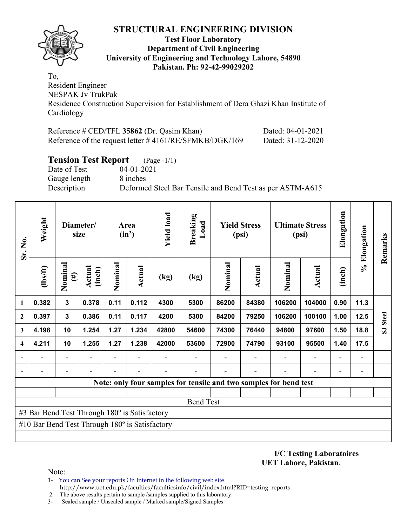## **STRUCTURAL ENGINEERING DIVISION**



#### **Test Floor Laboratory Department of Civil Engineering University of Engineering and Technology Lahore, 54890 Pakistan. Ph: 92-42-99029202**

To, Resident Engineer NESPAK Jv TrukPak Residence Construction Supervision for Establishment of Dera Ghazi Khan Institute of Cardiology

| Reference # CED/TFL 35862 (Dr. Qasim Khan)                | Dated: 04-01-2021 |
|-----------------------------------------------------------|-------------------|
| Reference of the request letter $\#4161/RE/SFMKB/DGK/169$ | Dated: 31-12-2020 |

### **Tension Test Report** (Page -1/1)

Date of Test 04-01-2021 Gauge length 8 inches

Description Deformed Steel Bar Tensile and Bend Test as per ASTM-A615

| Sr. No.                 | Weight                                                | Diameter/<br>size        |                          | Area<br>$(in^2)$ |                | <b>Yield load</b> | <b>Breaking</b><br>Load | <b>Yield Stress</b><br>(psi) |                          | <b>Ultimate Stress</b><br>(psi)                                   |                          | Elongation               | % Elongation             | Remarks                 |
|-------------------------|-------------------------------------------------------|--------------------------|--------------------------|------------------|----------------|-------------------|-------------------------|------------------------------|--------------------------|-------------------------------------------------------------------|--------------------------|--------------------------|--------------------------|-------------------------|
|                         | (hs/ft)                                               | Nominal<br>$(\#)$        | Actual<br>(inch)         | Nominal          | Actual         | (kg)              | (kg)                    | Nominal                      | Actual                   | Nominal                                                           | Actual                   | (inch)                   |                          |                         |
| $\mathbf{1}$            | 0.382                                                 | $\mathbf 3$              | 0.378                    | 0.11             | 0.112          | 4300              | 5300                    | 86200                        | 84380                    | 106200                                                            | 104000                   | 0.90                     | 11.3                     |                         |
| $\overline{2}$          | 0.397                                                 | $\overline{\mathbf{3}}$  | 0.386                    | 0.11             | 0.117          | 4200              | 5300                    | 84200                        | 79250                    | 106200                                                            | 100100                   | 1.00                     | 12.5                     | <b>Steel</b>            |
| $\mathbf{3}$            | 4.198                                                 | 10                       | 1.254                    | 1.27             | 1.234          | 42800             | 54600                   | 74300                        | 76440                    | 94800                                                             | 97600                    | 1.50                     | 18.8                     | $\overline{\mathbf{s}}$ |
| $\overline{\mathbf{4}}$ | 4.211                                                 | 10                       | 1.255                    | 1.27             | 1.238          | 42000             | 53600                   | 72900                        | 74790                    | 93100                                                             | 95500                    | 1.40                     | 17.5                     |                         |
|                         | $\overline{\phantom{0}}$                              | $\blacksquare$           |                          | ۰                |                |                   |                         |                              |                          |                                                                   | $\blacksquare$           | $\overline{\phantom{a}}$ | $\overline{\phantom{0}}$ |                         |
|                         |                                                       | $\overline{\phantom{a}}$ | $\overline{\phantom{0}}$ |                  | $\blacksquare$ |                   |                         |                              | $\overline{\phantom{0}}$ |                                                                   | $\overline{\phantom{0}}$ | $\overline{\phantom{0}}$ |                          |                         |
|                         |                                                       |                          |                          |                  |                |                   |                         |                              |                          | Note: only four samples for tensile and two samples for bend test |                          |                          |                          |                         |
|                         |                                                       |                          |                          |                  |                |                   |                         |                              |                          |                                                                   |                          |                          |                          |                         |
|                         |                                                       |                          |                          |                  |                |                   | <b>Bend Test</b>        |                              |                          |                                                                   |                          |                          |                          |                         |
|                         | #3 Bar Bend Test Through 180° is Satisfactory         |                          |                          |                  |                |                   |                         |                              |                          |                                                                   |                          |                          |                          |                         |
|                         | #10 Bar Bend Test Through $180^\circ$ is Satisfactory |                          |                          |                  |                |                   |                         |                              |                          |                                                                   |                          |                          |                          |                         |
|                         |                                                       |                          |                          |                  |                |                   |                         |                              |                          |                                                                   |                          |                          |                          |                         |

**I/C Testing Laboratoires UET Lahore, Pakistan**.

Note:

- 1- You can See your reports On Internet in the following web site http://www.uet.edu.pk/faculties/facultiesinfo/civil/index.html?RID=testing\_reports
- 2. The above results pertain to sample /samples supplied to this laboratory.
- 3- Sealed sample / Unsealed sample / Marked sample/Signed Samples